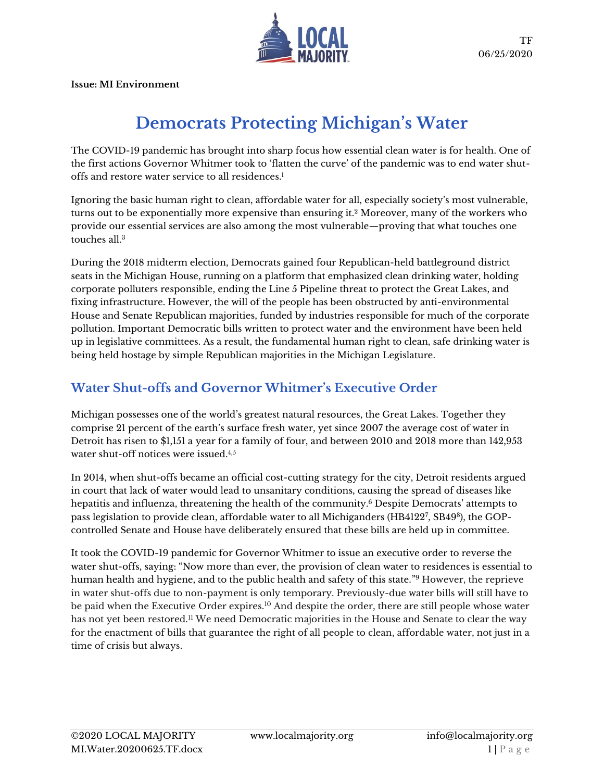

**Issue: MI Environment**

# **Democrats Protecting Michigan's Water**

The COVID-19 pandemic has brought into sharp focus how essential clean water is for health. One of the first actions Governor Whitmer took to 'flatten the curve' of the pandemic was to end water shutoffs and restore water service to all residences. 1

Ignoring the basic human right to clean, affordable water for all, especially society's most vulnerable, turns out to be exponentially more expensive than ensuring it.<sup>2</sup> Moreover, many of the workers who provide our essential services are also among the most vulnerable—proving that what touches one touches all.<sup>3</sup>

During the 2018 midterm election, Democrats gained four Republican-held battleground district seats in the Michigan House, running on a platform that emphasized clean drinking water, holding corporate polluters responsible, ending the Line 5 Pipeline threat to protect the Great Lakes, and fixing infrastructure. However, the will of the people has been obstructed by anti-environmental House and Senate Republican majorities, funded by industries responsible for much of the corporate pollution. Important Democratic bills written to protect water and the environment have been held up in legislative committees. As a result, the fundamental human right to clean, safe drinking water is being held hostage by simple Republican majorities in the Michigan Legislature.

### **Water Shut-offs and Governor Whitmer's Executive Order**

Michigan possesses one of the world's greatest natural resources, the Great Lakes. Together they comprise 21 percent of the earth's surface fresh water, yet since 2007 the average cost of water in Detroit has risen to \$1,151 a year for a family of four, and between 2010 and 2018 more than 142,953 water shut-off notices were issued.<sup>4,5</sup>

In 2014, when shut-offs became an official cost-cutting strategy for the city, Detroit residents argued in court that lack of water would lead to unsanitary conditions, causing the spread of diseases like hepatitis and influenza, threatening the health of the community.<sup>6</sup> Despite Democrats' attempts to pass legislation to provide clean, affordable water to all Michiganders (HB4122<sup>7</sup>, SB49<sup>8</sup>), the GOPcontrolled Senate and House have deliberately ensured that these bills are held up in committee.

It took the COVID-19 pandemic for Governor Whitmer to issue an executive order to reverse the water shut-offs, saying: "Now more than ever, the provision of clean water to residences is essential to human health and hygiene, and to the public health and safety of this state." <sup>9</sup> However, the reprieve in water shut-offs due to non-payment is only temporary. Previously-due water bills will still have to be paid when the Executive Order expires.<sup>10</sup> And despite the order, there are still people whose water has not yet been restored.<sup>11</sup> We need Democratic majorities in the House and Senate to clear the way for the enactment of bills that guarantee the right of all people to clean, affordable water, not just in a time of crisis but always.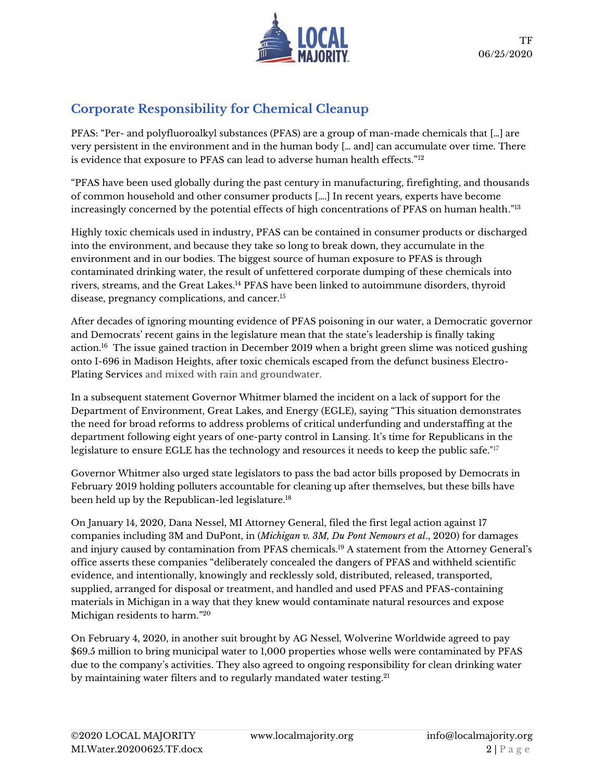

# **Corporate Responsibility for Chemical Cleanup**

PFAS: "Per- and polyfluoroalkyl substances (PFAS) are a group of man-made chemicals that […] are very persistent in the environment and in the human body [… and] can accumulate over time. There is evidence that exposure to PFAS can lead to adverse human health effects." $^{\rm 12}$ 

"PFAS have been used globally during the past century in manufacturing, firefighting, and thousands of common household and other consumer products [….] In recent years, experts have become increasingly concerned by the potential effects of high concentrations of PFAS on human health." $^{\rm l3}$ 

Highly toxic chemicals used in industry, PFAS can be contained in consumer products or discharged into the environment, and because they take so long to break down, they accumulate in the environment and in our bodies. The biggest source of human exposure to PFAS is through contaminated drinking water, the result of unfettered corporate dumping of these chemicals into rivers, streams, and the Great Lakes.<sup>14</sup> PFAS have been linked to autoimmune disorders, thyroid disease, pregnancy complications, and cancer.<sup>15</sup>

After decades of ignoring mounting evidence of PFAS poisoning in our water, a Democratic governor and Democrats' recent gains in the legislature mean that the state's leadership is finally taking action.<sup>16</sup> The issue gained traction in December 2019 when a bright green slime was noticed gushing onto I-696 in Madison Heights, after toxic chemicals escaped from the defunct business Electro-Plating Services and mixed with rain and groundwater.

In a subsequent statement Governor Whitmer blamed the incident on a lack of support for the Department of Environment, Great Lakes, and Energy (EGLE), saying "This situation demonstrates the need for broad reforms to address problems of critical underfunding and understaffing at the department following eight years of one-party control in Lansing. It's time for Republicans in the legislature to ensure EGLE has the technology and resources it needs to keep the public safe."<sup>17</sup>

Governor Whitmer also urged state legislators to pass the bad actor bills proposed by Democrats in February 2019 holding polluters accountable for cleaning up after themselves, but these bills have been held up by the Republican-led legislature.<sup>18</sup>

On January 14, 2020, Dana Nessel, MI Attorney General, filed the first legal action against 17 companies including 3M and DuPont, in (*Michigan v. 3M, Du Pont Nemours et al*., 2020) for damages and injury caused by contamination from PFAS chemicals.<sup>19</sup> A statement from the Attorney General's office asserts these companies "deliberately concealed the dangers of PFAS and withheld scientific evidence, and intentionally, knowingly and recklessly sold, distributed, released, transported, supplied, arranged for disposal or treatment, and handled and used PFAS and PFAS-containing materials in Michigan in a way that they knew would contaminate natural resources and expose Michigan residents to harm." 20

On February 4, 2020, in another suit brought by AG Nessel, Wolverine Worldwide agreed to pay \$69.5 million to bring municipal water to 1,000 properties whose wells were contaminated by PFAS due to the company's activities. They also agreed to ongoing responsibility for clean drinking water by maintaining water filters and to regularly mandated water testing.<sup>21</sup>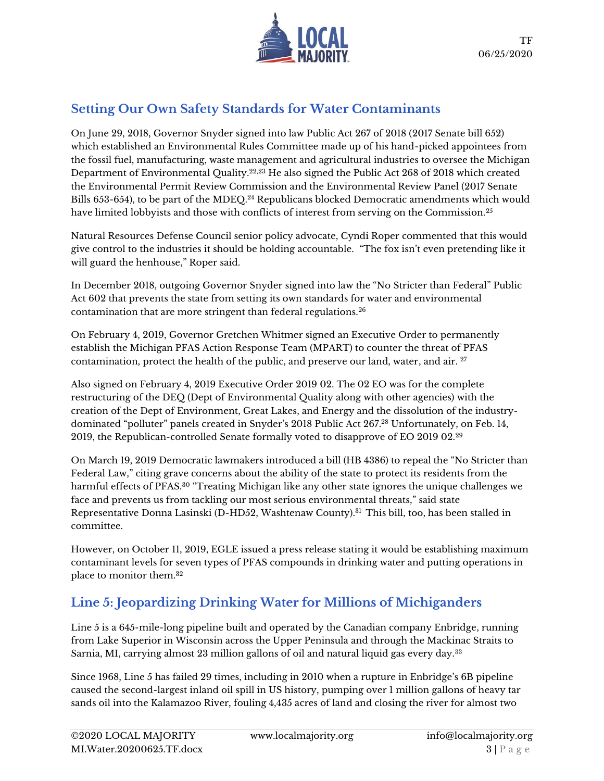

# **Setting Our Own Safety Standards for Water Contaminants**

On June 29, 2018, Governor Snyder signed into law Public Act 267 of 2018 (2017 Senate bill 652) which established an Environmental Rules Committee made up of his hand-picked appointees from the fossil fuel, manufacturing, waste management and agricultural industries to oversee the Michigan Department of Environmental Quality.22,23 He also signed the Public Act 268 of 2018 which created the Environmental Permit Review Commission and the Environmental Review Panel (2017 Senate Bills 653-654), to be part of the MDEQ.<sup>24</sup> Republicans blocked Democratic amendments which would have limited lobbyists and those with conflicts of interest from serving on the Commission.<sup>25</sup>

Natural Resources Defense Council senior policy advocate, Cyndi Roper commented that this would give control to the industries it should be holding accountable. "The fox isn't even pretending like it will guard the henhouse," Roper said.

In December 2018, outgoing Governor Snyder signed into law the "No Stricter than Federal" Public Act 602 that prevents the state from setting its own standards for water and environmental contamination that are more stringent than federal regulations.<sup>26</sup>

On February 4, 2019, Governor Gretchen Whitmer signed an Executive Order to permanently establish the Michigan PFAS Action Response Team (MPART) to counter the threat of PFAS contamination, protect the health of the public, and preserve our land, water, and air. <sup>27</sup>

Also signed on February 4, 2019 Executive Order 2019 02. The 02 EO was for the complete restructuring of the DEQ (Dept of Environmental Quality along with other agencies) with the creation of the Dept of Environment, Great Lakes, and Energy and the dissolution of the industrydominated "polluter" panels created in Snyder's 2018 Public Act 267. <sup>28</sup> Unfortunately, on Feb. 14, 2019, the Republican-controlled Senate formally voted to disapprove of EO 2019 02.<sup>29</sup>

On March 19, 2019 Democratic lawmakers introduced a bill (HB 4386) to repeal the "No Stricter than Federal Law," citing grave concerns about the ability of the state to protect its residents from the harmful effects of PFAS.<sup>30</sup> "Treating Michigan like any other state ignores the unique challenges we face and prevents us from tackling our most serious environmental threats," said state Representative Donna Lasinski (D-HD52, Washtenaw County).<sup>31</sup> This bill, too, has been stalled in committee.

However, on October 11, 2019, EGLE issued a press release stating it would be establishing maximum contaminant levels for seven types of PFAS compounds in drinking water and putting operations in place to monitor them.<sup>32</sup>

# **Line 5: Jeopardizing Drinking Water for Millions of Michiganders**

Line 5 is a 645-mile-long pipeline built and operated by the Canadian company Enbridge, running from Lake Superior in Wisconsin across the Upper Peninsula and through the Mackinac Straits to Sarnia, MI, carrying almost 23 million gallons of oil and natural liquid gas every day.<sup>33</sup>

Since 1968, Line 5 has failed 29 times, including in 2010 when a rupture in Enbridge's 6B pipeline caused the second-largest inland oil spill in US history, pumping over 1 million gallons of heavy tar sands oil into the Kalamazoo River, fouling 4,435 acres of land and closing the river for almost two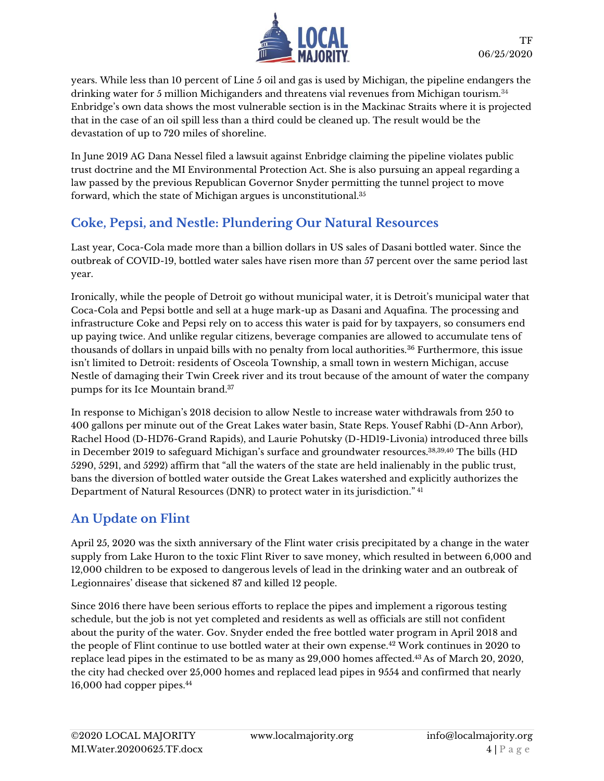

years. While less than 10 percent of Line 5 oil and gas is used by Michigan, the pipeline endangers the drinking water for 5 million Michiganders and threatens vial revenues from Michigan tourism.<sup>34</sup> Enbridge's own data shows the most vulnerable section is in the Mackinac Straits where it is projected that in the case of an oil spill less than a third could be cleaned up. The result would be the devastation of up to 720 miles of shoreline.

In June 2019 AG Dana Nessel filed a lawsuit against Enbridge claiming the pipeline violates public trust doctrine and the MI Environmental Protection Act. She is also pursuing an appeal regarding a law passed by the previous Republican Governor Snyder permitting the tunnel project to move forward, which the state of Michigan argues is unconstitutional.<sup>35</sup>

# **Coke, Pepsi, and Nestle: Plundering Our Natural Resources**

Last year, Coca-Cola made more than a billion dollars in US sales of Dasani bottled water. Since the outbreak of COVID-19, bottled water sales have risen more than 57 percent over the same period last year.

Ironically, while the people of Detroit go without municipal water, it is Detroit's municipal water that Coca-Cola and Pepsi bottle and sell at a huge mark-up as Dasani and Aquafina. The processing and infrastructure Coke and Pepsi rely on to access this water is paid for by taxpayers, so consumers end up paying twice. And unlike regular citizens, beverage companies are allowed to accumulate tens of thousands of dollars in unpaid bills with no penalty from local authorities.<sup>36</sup> Furthermore, this issue isn't limited to Detroit: residents of Osceola Township, a small town in western Michigan, accuse Nestle of damaging their Twin Creek river and its trout because of the amount of water the company pumps for its Ice Mountain brand.<sup>37</sup>

In response to Michigan's 2018 decision to allow Nestle to increase water withdrawals from 250 to 400 gallons per minute out of the Great Lakes water basin, State Reps. Yousef Rabhi (D-Ann Arbor), Rachel Hood (D-HD76-Grand Rapids), and Laurie Pohutsky (D-HD19-Livonia) introduced three bills in December 2019 to safeguard Michigan's surface and groundwater resources.<sup>38,39,40</sup> The bills (HD 5290, 5291, and 5292) affirm that "all the waters of the state are held inalienably in the public trust, bans the diversion of bottled water outside the Great Lakes watershed and explicitly authorizes the Department of Natural Resources (DNR) to protect water in its jurisdiction." <sup>41</sup>

# **An Update on Flint**

April 25, 2020 was the sixth anniversary of the Flint water crisis precipitated by a change in the water supply from Lake Huron to the toxic Flint River to save money, which resulted in between 6,000 and 12,000 children to be exposed to dangerous levels of lead in the drinking water and an outbreak of Legionnaires' disease that sickened 87 and killed 12 people.

Since 2016 there have been serious efforts to replace the pipes and implement a rigorous testing schedule, but the job is not yet completed and residents as well as officials are still not confident about the purity of the water. Gov. Snyder ended the free bottled water program in April 2018 and the people of Flint continue to use bottled water at their own expense.<sup>42</sup> Work continues in 2020 to replace lead pipes in the estimated to be as many as 29,000 homes affected.<sup>43</sup> As of March 20, 2020, the city had checked over 25,000 homes and replaced lead pipes in 9554 and confirmed that nearly 16,000 had copper pipes.44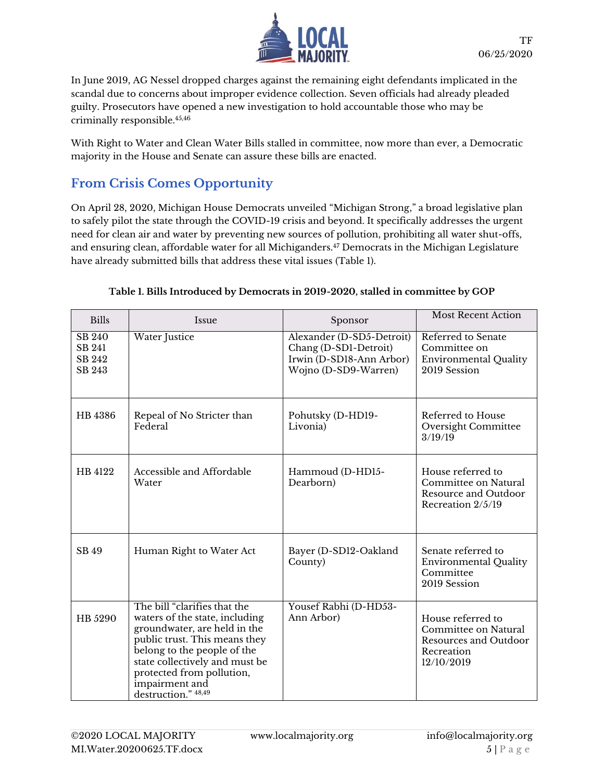

In June 2019, AG Nessel dropped charges against the remaining eight defendants implicated in the scandal due to concerns about improper evidence collection. Seven officials had already pleaded guilty. Prosecutors have opened a new investigation to hold accountable those who may be criminally responsible.45,46

With Right to Water and Clean Water Bills stalled in committee, now more than ever, a Democratic majority in the House and Senate can assure these bills are enacted.

### **From Crisis Comes Opportunity**

On April 28, 2020, Michigan House Democrats unveiled "Michigan Strong," a broad legislative plan to safely pilot the state through the COVID-19 crisis and beyond. It specifically addresses the urgent need for clean air and water by preventing new sources of pollution, prohibiting all water shut-offs, and ensuring clean, affordable water for all Michiganders.<sup>47</sup> Democrats in the Michigan Legislature have already submitted bills that address these vital issues (Table 1).

| <b>Bills</b>                            | Issue                                                                                                                                                                                                                                                                  | Sponsor                                                                                                | <b>Most Recent Action</b>                                                                      |
|-----------------------------------------|------------------------------------------------------------------------------------------------------------------------------------------------------------------------------------------------------------------------------------------------------------------------|--------------------------------------------------------------------------------------------------------|------------------------------------------------------------------------------------------------|
| $SB\ 240$<br>SB 241<br>SB 242<br>SB 243 | <b>Water Justice</b>                                                                                                                                                                                                                                                   | Alexander (D-SD5-Detroit)<br>Chang (D-SD1-Detroit)<br>Irwin (D-SD18-Ann Arbor)<br>Wojno (D-SD9-Warren) | Referred to Senate<br>Committee on<br>Environmental Quality<br>2019 Session                    |
| HB 4386                                 | Repeal of No Stricter than<br>Federal                                                                                                                                                                                                                                  | Pohutsky (D-HD19-<br>Livonia)                                                                          | Referred to House<br>Oversight Committee<br>3/19/19                                            |
| HB 4122                                 | Accessible and Affordable<br>Water                                                                                                                                                                                                                                     | Hammoud (D-HD15-<br>Dearborn)                                                                          | House referred to<br>Committee on Natural<br>Resource and Outdoor<br>Recreation 2/5/19         |
| SB 49                                   | Human Right to Water Act                                                                                                                                                                                                                                               | Bayer (D-SD12-Oakland<br>County)                                                                       | Senate referred to<br>Environmental Quality<br>Committee<br>2019 Session                       |
| HB 5290                                 | The bill "clarifies that the<br>waters of the state, including<br>groundwater, are held in the<br>public trust. This means they<br>belong to the people of the<br>state collectively and must be<br>protected from pollution,<br>impairment and<br>destruction." 48,49 | Yousef Rabhi (D-HD53-<br>Ann Arbor)                                                                    | House referred to<br>Committee on Natural<br>Resources and Outdoor<br>Recreation<br>12/10/2019 |

#### **Table 1. Bills Introduced by Democrats in 2019-2020, stalled in committee by GOP**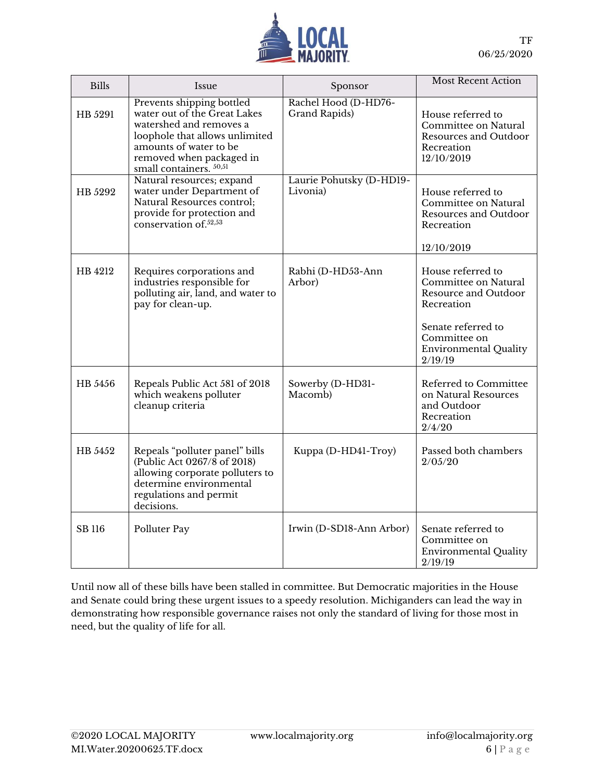

| <b>Bills</b> | Issue                                                                                                                                                                                                   | Sponsor                               | <b>Most Recent Action</b>                                                                                                                                        |
|--------------|---------------------------------------------------------------------------------------------------------------------------------------------------------------------------------------------------------|---------------------------------------|------------------------------------------------------------------------------------------------------------------------------------------------------------------|
| HB 5291      | Prevents shipping bottled<br>water out of the Great Lakes<br>watershed and removes a<br>loophole that allows unlimited<br>amounts of water to be<br>removed when packaged in<br>small containers. 50,51 | Rachel Hood (D-HD76-<br>Grand Rapids) | House referred to<br>Committee on Natural<br>Resources and Outdoor<br>Recreation<br>12/10/2019                                                                   |
| HB 5292      | Natural resources; expand<br>water under Department of<br>Natural Resources control;<br>provide for protection and<br>conservation of. <sup>52,53</sup>                                                 | Laurie Pohutsky (D-HD19-<br>Livonia)  | House referred to<br>Committee on Natural<br>Resources and Outdoor<br>Recreation<br>12/10/2019                                                                   |
| HB 4212      | Requires corporations and<br>industries responsible for<br>polluting air, land, and water to<br>pay for clean-up.                                                                                       | Rabhi (D-HD53-Ann<br>Arbor)           | House referred to<br>Committee on Natural<br>Resource and Outdoor<br>Recreation<br>Senate referred to<br>Committee on<br><b>Environmental Quality</b><br>2/19/19 |
| HB 5456      | Repeals Public Act 581 of 2018<br>which weakens polluter<br>cleanup criteria                                                                                                                            | Sowerby (D-HD31-<br>Macomb)           | Referred to Committee<br>on Natural Resources<br>and Outdoor<br>Recreation<br>2/4/20                                                                             |
| HB 5452      | Repeals "polluter panel" bills<br>(Public Act 0267/8 of 2018)<br>allowing corporate polluters to<br>determine environmental<br>regulations and permit<br>decisions.                                     | Kuppa (D-HD41-Troy)                   | Passed both chambers<br>2/05/20                                                                                                                                  |
| SB 116       | Polluter Pay                                                                                                                                                                                            | Irwin (D-SD18-Ann Arbor)              | Senate referred to<br>Committee on<br><b>Environmental Quality</b><br>2/19/19                                                                                    |

Until now all of these bills have been stalled in committee. But Democratic majorities in the House and Senate could bring these urgent issues to a speedy resolution. Michiganders can lead the way in demonstrating how responsible governance raises not only the standard of living for those most in need, but the quality of life for all.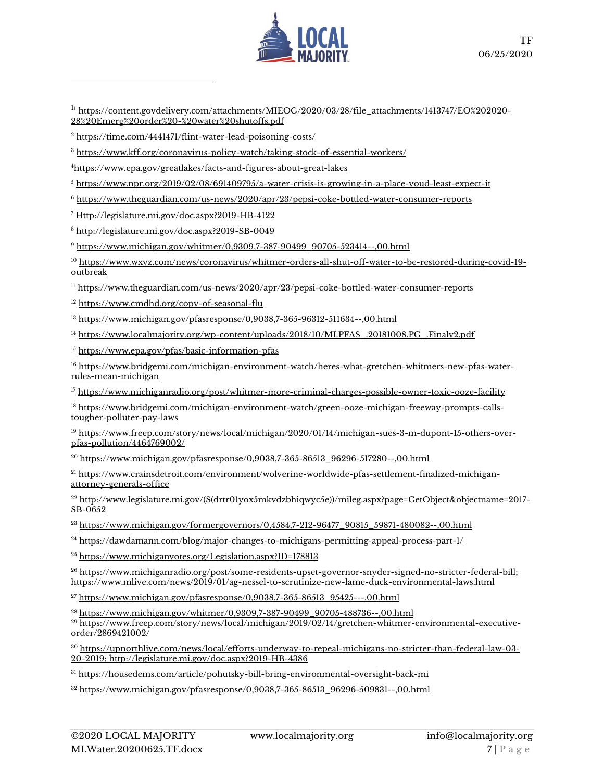

<sup>11</sup> [https://content.govdelivery.com/attachments/MIEOG/2020/03/28/file\\_attachments/1413747/EO%202020-](https://content.govdelivery.com/attachments/MIEOG/2020/03/28/file_attachments/1413747/EO%202020-28%20Emerg%20order%20-%20water%20shutoffs.pdf) [28%20Emerg%20order%20-%20water%20shutoffs.pdf](https://content.govdelivery.com/attachments/MIEOG/2020/03/28/file_attachments/1413747/EO%202020-28%20Emerg%20order%20-%20water%20shutoffs.pdf)

<sup>2</sup> <https://time.com/4441471/flint-water-lead-poisoning-costs/>

<sup>3</sup> <https://www.kff.org/coronavirus-policy-watch/taking-stock-of-essential-workers/>

<sup>4</sup><https://www.epa.gov/greatlakes/facts-and-figures-about-great-lakes>

<sup>5</sup> <https://www.npr.org/2019/02/08/691409795/a-water-crisis-is-growing-in-a-place-youd-least-expect-it>

<sup>6</sup> <https://www.theguardian.com/us-news/2020/apr/23/pepsi-coke-bottled-water-consumer-reports>

<sup>7</sup> Http://legislature.mi.gov/doc.aspx?2019-HB-4122

<sup>8</sup> http://legislature.mi.gov/doc.aspx?2019-SB-0049

<sup>9</sup> [https://www.michigan.gov/whitmer/0,9309,7-387-90499\\_90705-523414--,00.html](https://www.michigan.gov/whitmer/0,9309,7-387-90499_90705-523414--,00.html) 

<sup>10</sup> [https://www.wxyz.com/news/coronavirus/whitmer-orders-all-shut-off-water-to-be-restored-during-covid-19](https://www.wxyz.com/news/coronavirus/whitmer-orders-all-shut-off-water-to-be-restored-during-covid-19-outbreak) [outbreak](https://www.wxyz.com/news/coronavirus/whitmer-orders-all-shut-off-water-to-be-restored-during-covid-19-outbreak)

<sup>11</sup> <https://www.theguardian.com/us-news/2020/apr/23/pepsi-coke-bottled-water-consumer-reports>

<sup>12</sup> <https://www.cmdhd.org/copy-of-seasonal-flu>

<sup>13</sup> <https://www.michigan.gov/pfasresponse/0,9038,7-365-96312-511634--,00.html>

<sup>14</sup> [https://www.localmajority.org/wp-content/uploads/2018/10/MI.PFAS\\_.20181008.PG\\_.Finalv2.pdf](https://www.localmajority.org/wp-content/uploads/2018/10/MI.PFAS_.20181008.PG_.Finalv2.pdf)

<sup>15</sup> <https://www.epa.gov/pfas/basic-information-pfas>

<sup>16</sup> [https://www.bridgemi.com/michigan-environment-watch/heres-what-gretchen-whitmers-new-pfas-water](https://www.bridgemi.com/michigan-environment-watch/heres-what-gretchen-whitmers-new-pfas-water-rules-mean-michigan)[rules-mean-michigan](https://www.bridgemi.com/michigan-environment-watch/heres-what-gretchen-whitmers-new-pfas-water-rules-mean-michigan)

<sup>17</sup> <https://www.michiganradio.org/post/whitmer-more-criminal-charges-possible-owner-toxic-ooze-facility>

<sup>18</sup> [https://www.bridgemi.com/michigan-environment-watch/green-ooze-michigan-freeway-prompts-calls](https://www.bridgemi.com/michigan-environment-watch/green-ooze-michigan-freeway-prompts-calls-tougher-polluter-pay-laws)[tougher-polluter-pay-laws](https://www.bridgemi.com/michigan-environment-watch/green-ooze-michigan-freeway-prompts-calls-tougher-polluter-pay-laws)

<sup>19</sup> [https://www.freep.com/story/news/local/michigan/2020/01/14/michigan-sues-3-m-dupont-15-others-over](https://www.freep.com/story/news/local/michigan/2020/01/14/michigan-sues-3-m-dupont-15-others-over-pfas-pollution/4464769002/)[pfas-pollution/4464769002/](https://www.freep.com/story/news/local/michigan/2020/01/14/michigan-sues-3-m-dupont-15-others-over-pfas-pollution/4464769002/)

<sup>20</sup> [https://www.michigan.gov/pfasresponse/0,9038,7-365-86513\\_96296-517280--,00.html](https://www.michigan.gov/pfasresponse/0,9038,7-365-86513_96296-517280--,00.html)

<sup>21</sup> [https://www.crainsdetroit.com/environment/wolverine-worldwide-pfas-settlement-finalized-michigan](https://www.crainsdetroit.com/environment/wolverine-worldwide-pfas-settlement-finalized-michigan-attorney-generals-office)[attorney-generals-office](https://www.crainsdetroit.com/environment/wolverine-worldwide-pfas-settlement-finalized-michigan-attorney-generals-office)

<sup>22</sup> [http://www.legislature.mi.gov/\(S\(drtr01yox5mkvdzbhiqwyc5e\)\)/mileg.aspx?page=GetObject&objectname=2017-](http://www.legislature.mi.gov/(S(drtr01yox5mkvdzbhiqwyc5e))/mileg.aspx?page=GetObject&objectname=2017-SB-0652) [SB-0652](http://www.legislature.mi.gov/(S(drtr01yox5mkvdzbhiqwyc5e))/mileg.aspx?page=GetObject&objectname=2017-SB-0652)

<sup>23</sup> [https://www.michigan.gov/formergovernors/0,4584,7-212-96477\\_90815\\_59871-480082--,00.html](https://www.michigan.gov/formergovernors/0,4584,7-212-96477_90815_59871-480082--,00.html)

<sup>24</sup> <https://dawdamann.com/blog/major-changes-to-michigans-permitting-appeal-process-part-1/>

<sup>25</sup> <https://www.michiganvotes.org/Legislation.aspx?ID=178813>

<sup>26</sup> [https://www.michiganradio.org/post/some-residents-upset-governor-snyder-signed-no-stricter-federal-bill;](https://www.michiganradio.org/post/some-residents-upset-governor-snyder-signed-no-stricter-federal-bill) <https://www.mlive.com/news/2019/01/ag-nessel-to-scrutinize-new-lame-duck-environmental-laws.html>

 $^{27}$  [https://www.michigan.gov/pfasresponse/0,9038,7-365-86513\\_95425---,00.html](https://www.michigan.gov/pfasresponse/0,9038,7-365-86513_95425---,00.html)

<sup>28</sup> [https://www.michigan.gov/whitmer/0,9309,7-387-90499\\_90705-488736--,00.html](https://www.michigan.gov/whitmer/0,9309,7-387-90499_90705-488736--,00.html)

<sup>29</sup> [https://www.freep.com/story/news/local/michigan/2019/02/14/gretchen-whitmer-environmental-executive](https://www.freep.com/story/news/local/michigan/2019/02/14/gretchen-whitmer-environmental-executive-order/2869421002/)[order/2869421002/](https://www.freep.com/story/news/local/michigan/2019/02/14/gretchen-whitmer-environmental-executive-order/2869421002/)

<sup>30</sup> [https://upnorthlive.com/news/local/efforts-underway-to-repeal-michigans-no-stricter-than-federal-law-03-](https://upnorthlive.com/news/local/efforts-underway-to-repeal-michigans-no-stricter-than-federal-law-03-20-2019) [20-2019;](https://upnorthlive.com/news/local/efforts-underway-to-repeal-michigans-no-stricter-than-federal-law-03-20-2019) http://legislature.mi.gov/doc.aspx?2019-HB-4386

<sup>31</sup> <https://housedems.com/article/pohutsky-bill-bring-environmental-oversight-back-mi>

 $32 \frac{\text{https://www.michigan.gov/pfasrespons}/0,9038,7-365-86513-96296-509831--,00.html}{0.000}$